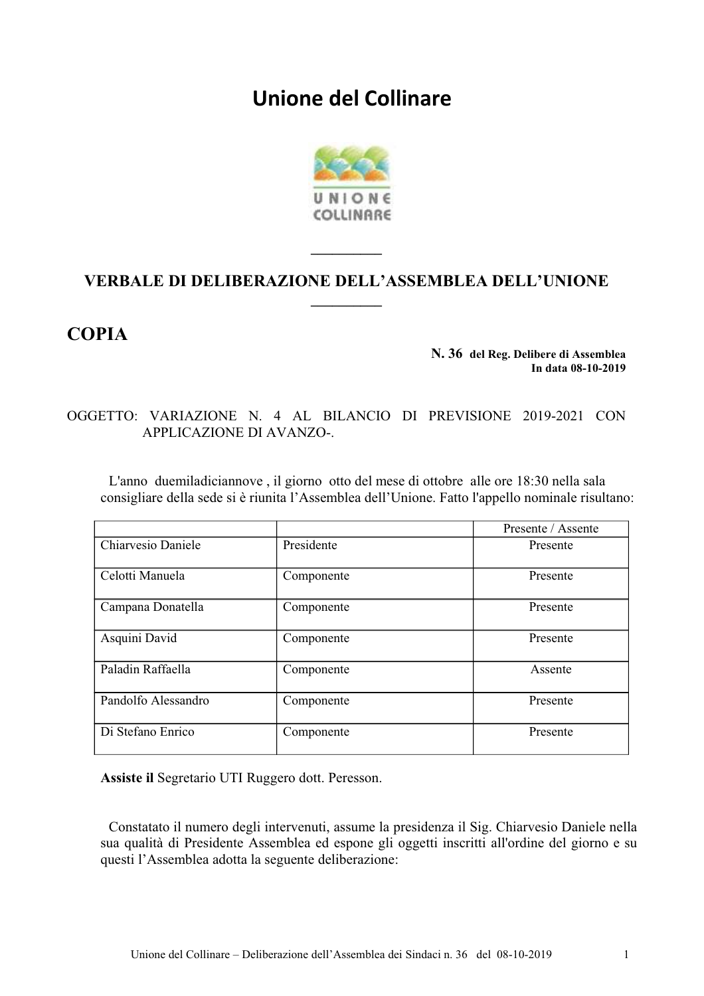# Unione del Collinare



# VERBALE DI DELIBERAZIONE DELL'ASSEMBLEA DELL'UNIONE

# **COPIA**

#### N. 36 del Reg. Delibere di Assemblea In data 08-10-2019

## OGGETTO: VARIAZIONE N. 4 AL BILANCIO DI PREVISIONE 2019-2021 CON APPLICAZIONE DI AVANZO-.

L'anno due miladiciannove, il giorno otto del mese di ottobre alle ore 18:30 nella sala consigliare della sede si è riunita l'Assemblea dell'Unione. Fatto l'appello nominale risultano:

|                     |            | Presente / Assente |
|---------------------|------------|--------------------|
| Chiarvesio Daniele  | Presidente | Presente           |
| Celotti Manuela     | Componente | Presente           |
| Campana Donatella   | Componente | Presente           |
| Asquini David       | Componente | Presente           |
| Paladin Raffaella   | Componente | Assente            |
| Pandolfo Alessandro | Componente | Presente           |
| Di Stefano Enrico   | Componente | Presente           |

Assiste il Segretario UTI Ruggero dott. Peresson.

Constatato il numero degli intervenuti, assume la presidenza il Sig. Chiarvesio Daniele nella sua qualità di Presidente Assemblea ed espone gli oggetti inscritti all'ordine del giorno e su questi l'Assemblea adotta la seguente deliberazione: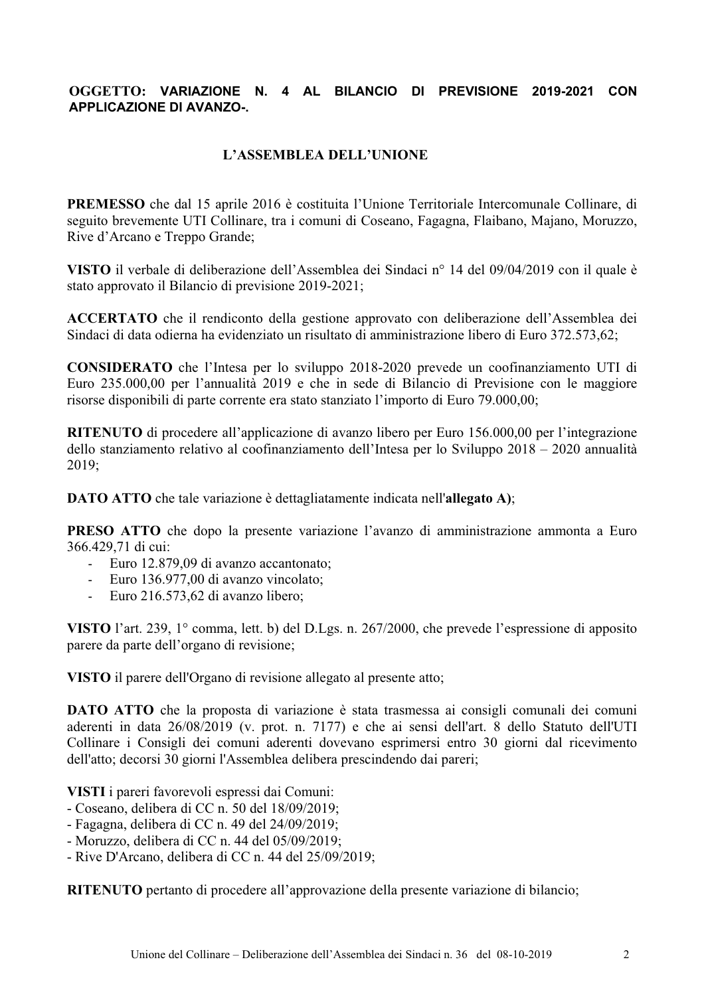### OGGETTO: VARIAZIONE N. 4 AL BILANCIO DI PREVISIONE 2019-2021 CON **APPLICAZIONE DI AVANZO-.**

### L'ASSEMBLEA DELL'UNIONE

**PREMESSO** che dal 15 aprile 2016 è costituita l'Unione Territoriale Intercomunale Collinare, di seguito brevemente UTI Collinare, tra i comuni di Coseano, Fagagna, Flaibano, Majano, Moruzzo, Rive d'Arcano e Treppo Grande;

VISTO il verbale di deliberazione dell'Assemblea dei Sindaci nº 14 del 09/04/2019 con il quale è stato approvato il Bilancio di previsione 2019-2021;

ACCERTATO che il rendiconto della gestione approvato con deliberazione dell'Assemblea dei Sindaci di data odierna ha evidenziato un risultato di amministrazione libero di Euro 372.573.62;

**CONSIDERATO** che l'Intesa per lo sviluppo 2018-2020 prevede un coofinanziamento UTI di Euro 235.000,00 per l'annualità 2019 e che in sede di Bilancio di Previsione con le maggiore risorse disponibili di parte corrente era stato stanziato l'importo di Euro 79.000.00:

RITENUTO di procedere all'applicazione di avanzo libero per Euro 156.000,00 per l'integrazione dello stanziamento relativo al coofinanziamento dell'Intesa per lo Sviluppo  $2018 - 2020$  annualità 2019:

**DATO ATTO** che tale variazione è dettagliatamente indicata nell'allegato A);

PRESO ATTO che dopo la presente variazione l'avanzo di amministrazione ammonta a Euro 366.429.71 di cui:

- Euro 12.879.09 di avanzo accantonato:
- Euro 136.977,00 di avanzo vincolato;  $\mathbf{L}^{\text{max}}$
- Euro 216.573,62 di avanzo libero;

VISTO l'art. 239, 1 $^{\circ}$  comma, lett. b) del D.Lgs. n. 267/2000, che prevede l'espressione di apposito parere da parte dell'organo di revisione:

VISTO il parere dell'Organo di revisione allegato al presente atto;

**DATO ATTO** che la proposta di variazione è stata trasmessa ai consigli comunali dei comuni aderenti in data 26/08/2019 (v. prot. n. 7177) e che ai sensi dell'art. 8 dello Statuto dell'UTI Collinare i Consigli dei comuni aderenti dovevano esprimersi entro 30 giorni dal ricevimento dell'atto; decorsi 30 giorni l'Assemblea delibera prescindendo dai pareri;

VISTI i pareri favorevoli espressi dai Comuni:

- Coseano, delibera di CC n. 50 del 18/09/2019;
- Fagagna, delibera di CC n. 49 del  $24/09/2019$ ;
- Moruzzo, delibera di CC n. 44 del 05/09/2019;
- Rive D'Arcano, delibera di CC n. 44 del 25/09/2019;

RITENUTO pertanto di procedere all'approvazione della presente variazione di bilancio;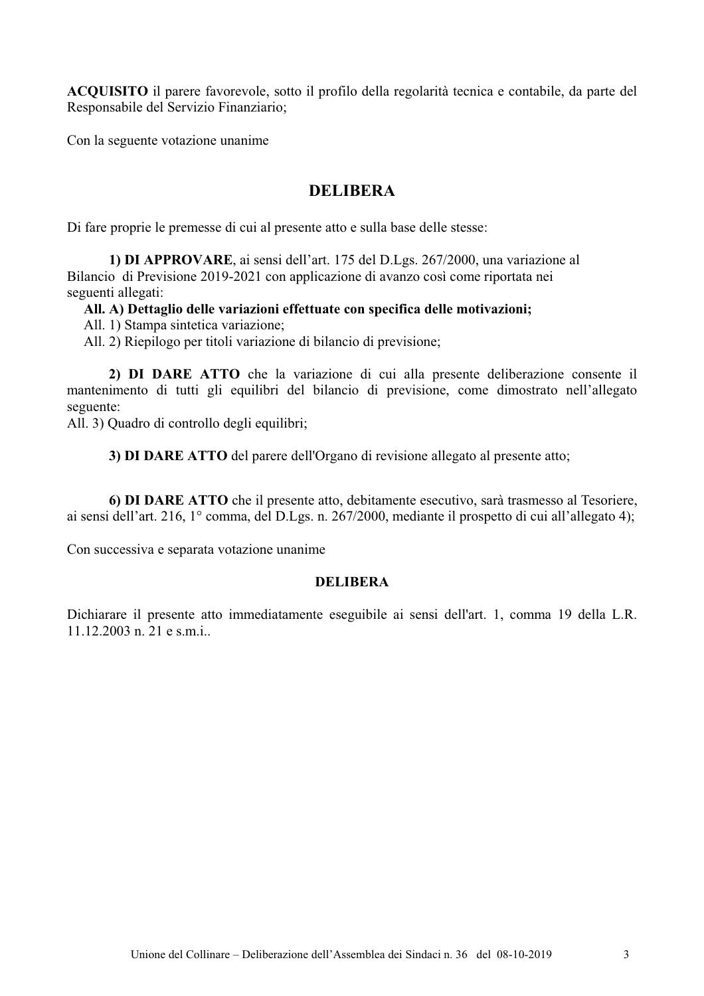ACQUISITO il parere favorevole, sotto il profilo della regolarità tecnica e contabile, da parte del Responsabile del Servizio Finanziario;

Con la seguente votazione unanime

## **DELIBERA**

Di fare proprie le premesse di cui al presente atto e sulla base delle stesse:

1) DI APPROVARE, ai sensi dell'art. 175 del D.Lgs. 267/2000, una variazione al Bilancio di Previsione 2019-2021 con applicazione di avanzo così come riportata nei seguenti allegati:

#### All. A) Dettaglio delle variazioni effettuate con specifica delle motivazioni;

All. 1) Stampa sintetica variazione;

All. 2) Riepilogo per titoli variazione di bilancio di previsione;

2) DI DARE ATTO che la variazione di cui alla presente deliberazione consente il mantenimento di tutti gli equilibri del bilancio di previsione, come dimostrato nell'allegato seguente:

All. 3) Quadro di controllo degli equilibri;

3) DI DARE ATTO del parere dell'Organo di revisione allegato al presente atto;

6) DI DARE ATTO che il presente atto, debitamente esecutivo, sarà trasmesso al Tesoriere, ai sensi dell'art. 216, 1° comma, del D.Lgs. n. 267/2000, mediante il prospetto di cui all'allegato 4);

Con successiva e separata votazione unanime

#### **DELIBERA**

Dichiarare il presente atto immediatamente eseguibile ai sensi dell'art. 1, comma 19 della L.R.  $11.12.2003$  n. 21 e s.m.i.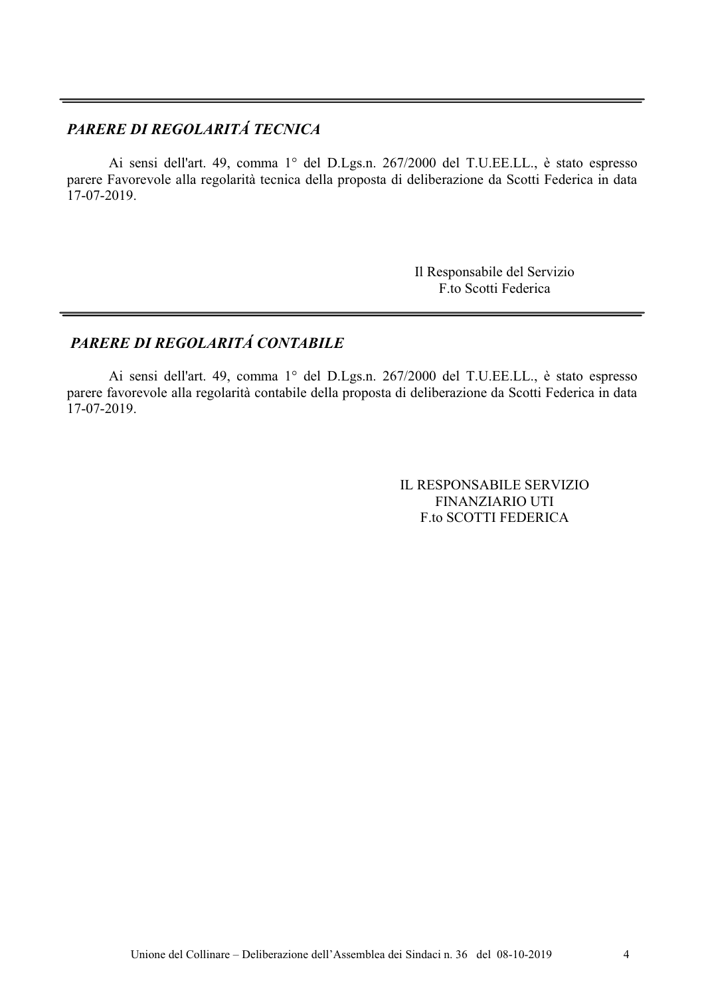# PARERE DI REGOLARITÁ TECNICA

Ai sensi dell'art. 49, comma 1° del D.Lgs.n. 267/2000 del T.U.EE.LL., è stato espresso parere Favorevole alla regolarità tecnica della proposta di deliberazione da Scotti Federica in data  $17-07-2019$ .

> Il Responsabile del Servizio F.to Scotti Federica

## PARERE DI REGOLARITÁ CONTABILE

Ai sensi dell'art. 49, comma 1° del D.Lgs.n. 267/2000 del T.U.EE.LL., è stato espresso parere favorevole alla regolarità contabile della proposta di deliberazione da Scotti Federica in data  $17-07-2019$ .

> IL RESPONSABILE SERVIZIO **FINANZIARIO UTI F.to SCOTTI FEDERICA**